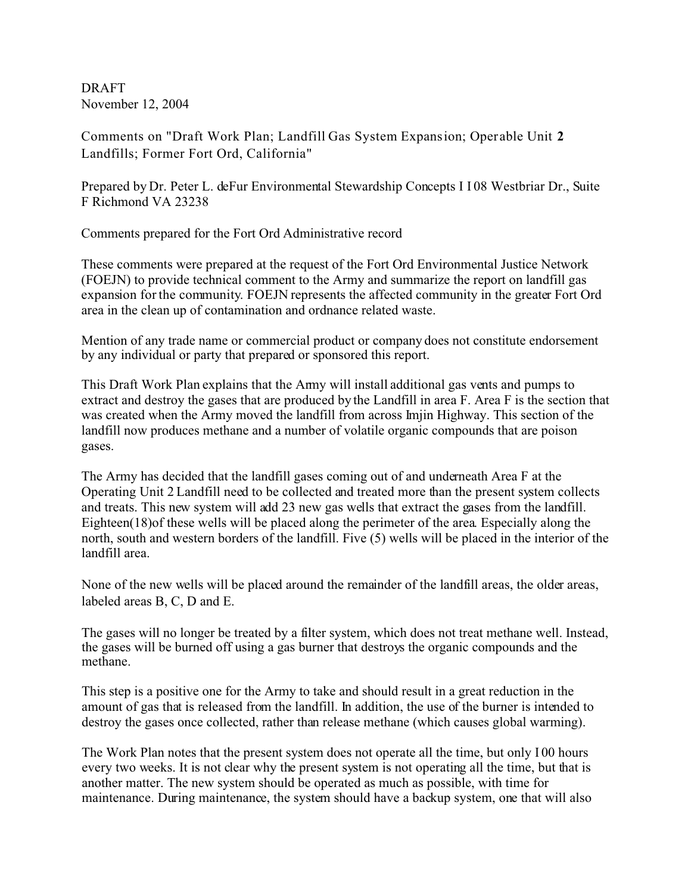DRAFT November 12, 2004

Comments on "Draft Work Plan; Landfill Gas System Expansion; Operable Unit **2** Landfills; Former Fort Ord, California"

Prepared by Dr. Peter L. deFur Environmental Stewardship Concepts I I 08 Westbriar Dr., Suite F Richmond VA 23238

Comments prepared for the Fort Ord Administrative record

These comments were prepared at the request of the Fort Ord Environmental Justice Network (FOEJN) to provide technical comment to the Army and summarize the report on landfill gas expansion for the community. FOEJN represents the affected community in the greater Fort Ord area in the clean up of contamination and ordnance related waste.

Mention of any trade name or commercial product or company does not constitute endorsement by any individual or party that prepared or sponsored this report.

This Draft Work Plan explains that the Army will install additional gas vents and pumps to extract and destroy the gases that are produced by the Landfill in area F. Area F is the section that was created when the Army moved the landfill from across Imjin Highway. This section of the landfill now produces methane and a number of volatile organic compounds that are poison gases.

The Army has decided that the landfill gases coming out of and underneath Area F at the Operating Unit 2 Landfill need to be collected and treated more than the present system collects and treats. This new system will add 23 new gas wells that extract the gases from the landfill. Eighteen(18)of these wells will be placed along the perimeter of the area. Especially along the north, south and western borders of the landfill. Five (5) wells will be placed in the interior of the landfill area.

None of the new wells will be placed around the remainder of the landfill areas, the older areas, labeled areas B, C, D and E.

The gases will no longer be treated by a filter system, which does not treat methane well. Instead, the gases will be burned off using a gas burner that destroys the organic compounds and the methane.

This step is a positive one for the Army to take and should result in a great reduction in the amount of gas that is released from the landfill. In addition, the use of the burner is intended to destroy the gases once collected, rather than release methane (which causes global warming).

The Work Plan notes that the present system does not operate all the time, but only I 00 hours every two weeks. It is not clear why the present system is not operating all the time, but that is another matter. The new system should be operated as much as possible, with time for maintenance. During maintenance, the system should have a backup system, one that will also